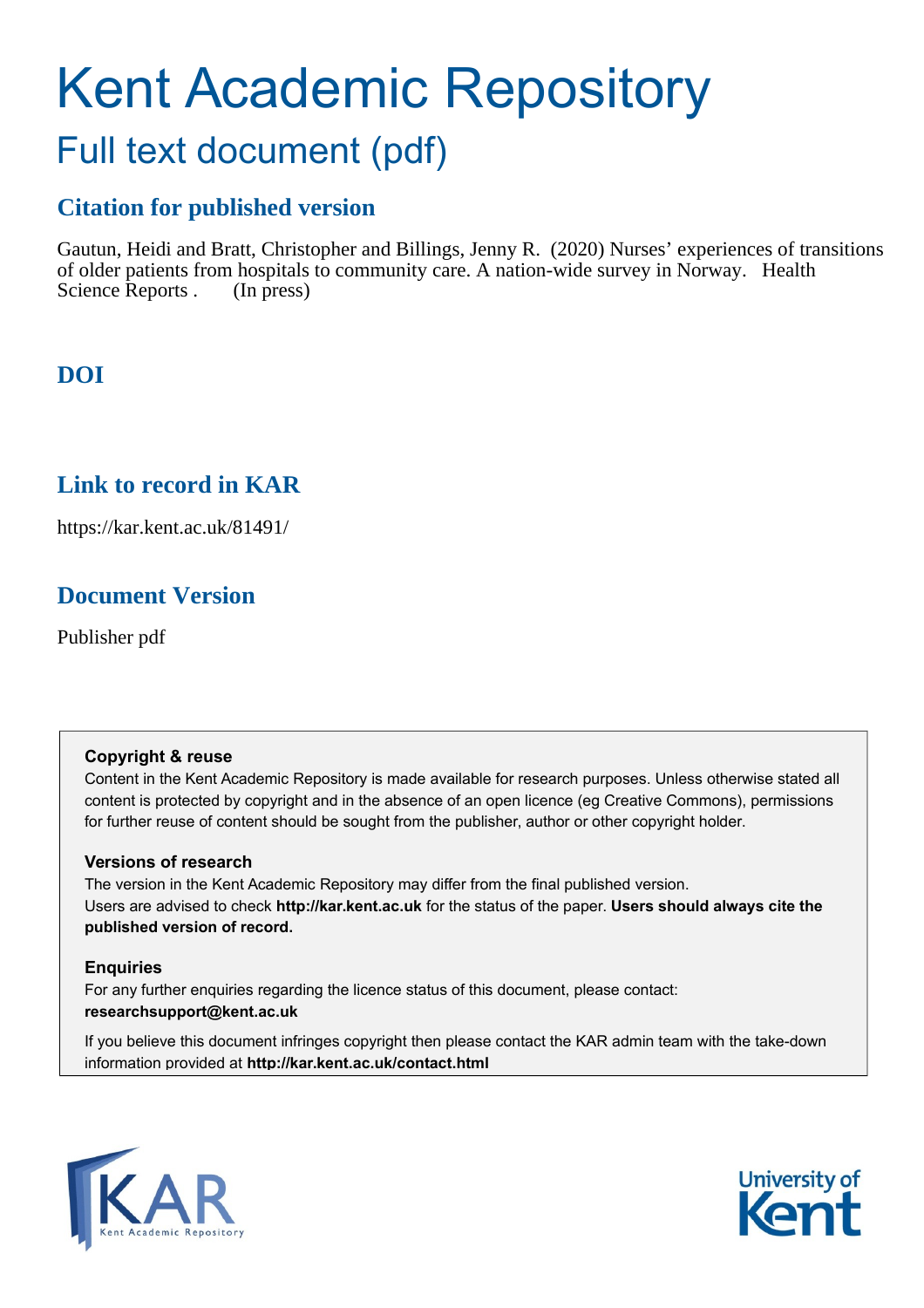# Kent Academic Repository Full text document (pdf)

# **Citation for published version**

Gautun, Heidi and Bratt, Christopher and Billings, Jenny R. (2020) Nurses' experiences of transitions of older patients from hospitals to community care. A nation-wide survey in Norway. Health Science Reports . (In press)

# **DOI**

# **Link to record in KAR**

https://kar.kent.ac.uk/81491/

# **Document Version**

Publisher pdf

# **Copyright & reuse**

Content in the Kent Academic Repository is made available for research purposes. Unless otherwise stated all content is protected by copyright and in the absence of an open licence (eg Creative Commons), permissions for further reuse of content should be sought from the publisher, author or other copyright holder.

# **Versions of research**

The version in the Kent Academic Repository may differ from the final published version. Users are advised to check **http://kar.kent.ac.uk** for the status of the paper. **Users should always cite the published version of record.**

# **Enquiries**

For any further enquiries regarding the licence status of this document, please contact: **researchsupport@kent.ac.uk**

If you believe this document infringes copyright then please contact the KAR admin team with the take-down information provided at **http://kar.kent.ac.uk/contact.html**



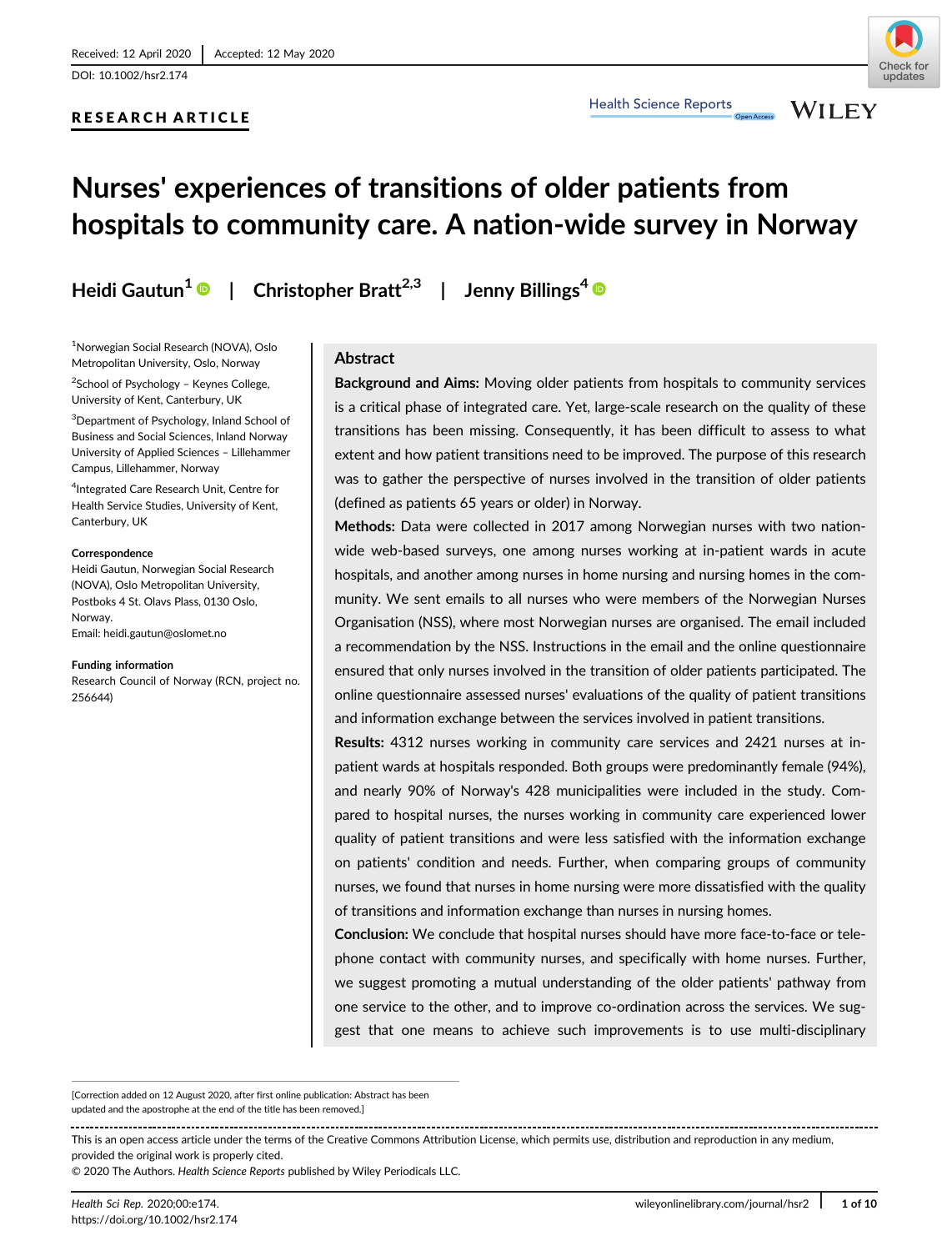DOI: 10.1002/hsr2.174

# RESEARCH ARTICLE

Health Science Reports

**WILEY** 

# Nurses' experiences of transitions of older patients from hospitals to community care. A nation-wide survey in Norway

Heidi Gautun<sup>1</sup>  $\bullet$  | Christopher Bratt<sup>2,3</sup> | Jenny Billings<sup>4</sup>  $\bullet$ 

1 Norwegian Social Research (NOVA), Oslo Metropolitan University, Oslo, Norway

2 School of Psychology – Keynes College, University of Kent, Canterbury, UK

3 Department of Psychology, Inland School of Business and Social Sciences, Inland Norway University of Applied Sciences – Lillehammer Campus, Lillehammer, Norway

4 Integrated Care Research Unit, Centre for Health Service Studies, University of Kent, Canterbury, UK

#### Correspondence

Heidi Gautun, Norwegian Social Research (NOVA), Oslo Metropolitan University, Postboks 4 St. Olavs Plass, 0130 Oslo, Norway.

Email: [heidi.gautun@oslomet.no](mailto:heidi.gautun@oslomet.no)

#### Funding information

Research Council of Norway (RCN, project no. 256644)

#### Abstract

Background and Aims: Moving older patients from hospitals to community services is a critical phase of integrated care. Yet, large-scale research on the quality of these transitions has been missing. Consequently, it has been difficult to assess to what extent and how patient transitions need to be improved. The purpose of this research was to gather the perspective of nurses involved in the transition of older patients (defined as patients 65 years or older) in Norway.

Methods: Data were collected in 2017 among Norwegian nurses with two nationwide web-based surveys, one among nurses working at in-patient wards in acute hospitals, and another among nurses in home nursing and nursing homes in the community. We sent emails to all nurses who were members of the Norwegian Nurses Organisation (NSS), where most Norwegian nurses are organised. The email included a recommendation by the NSS. Instructions in the email and the online questionnaire ensured that only nurses involved in the transition of older patients participated. The online questionnaire assessed nurses' evaluations of the quality of patient transitions and information exchange between the services involved in patient transitions.

Results: 4312 nurses working in community care services and 2421 nurses at inpatient wards at hospitals responded. Both groups were predominantly female (94%), and nearly 90% of Norway's 428 municipalities were included in the study. Compared to hospital nurses, the nurses working in community care experienced lower quality of patient transitions and were less satisfied with the information exchange on patients' condition and needs. Further, when comparing groups of community nurses, we found that nurses in home nursing were more dissatisfied with the quality of transitions and information exchange than nurses in nursing homes.

Conclusion: We conclude that hospital nurses should have more face-to-face or telephone contact with community nurses, and specifically with home nurses. Further, we suggest promoting a mutual understanding of the older patients' pathway from one service to the other, and to improve co-ordination across the services. We suggest that one means to achieve such improvements is to use multi-disciplinary

[Correction added on 12 August 2020, after first online publication: Abstract has been updated and the apostrophe at the end of the title has been removed.]

This is an open access article under the terms of the [Creative Commons Attribution](http://creativecommons.org/licenses/by/4.0/) License, which permits use, distribution and reproduction in any medium, provided the original work is properly cited.

© 2020 The Authors. Health Science Reports published by Wiley Periodicals LLC.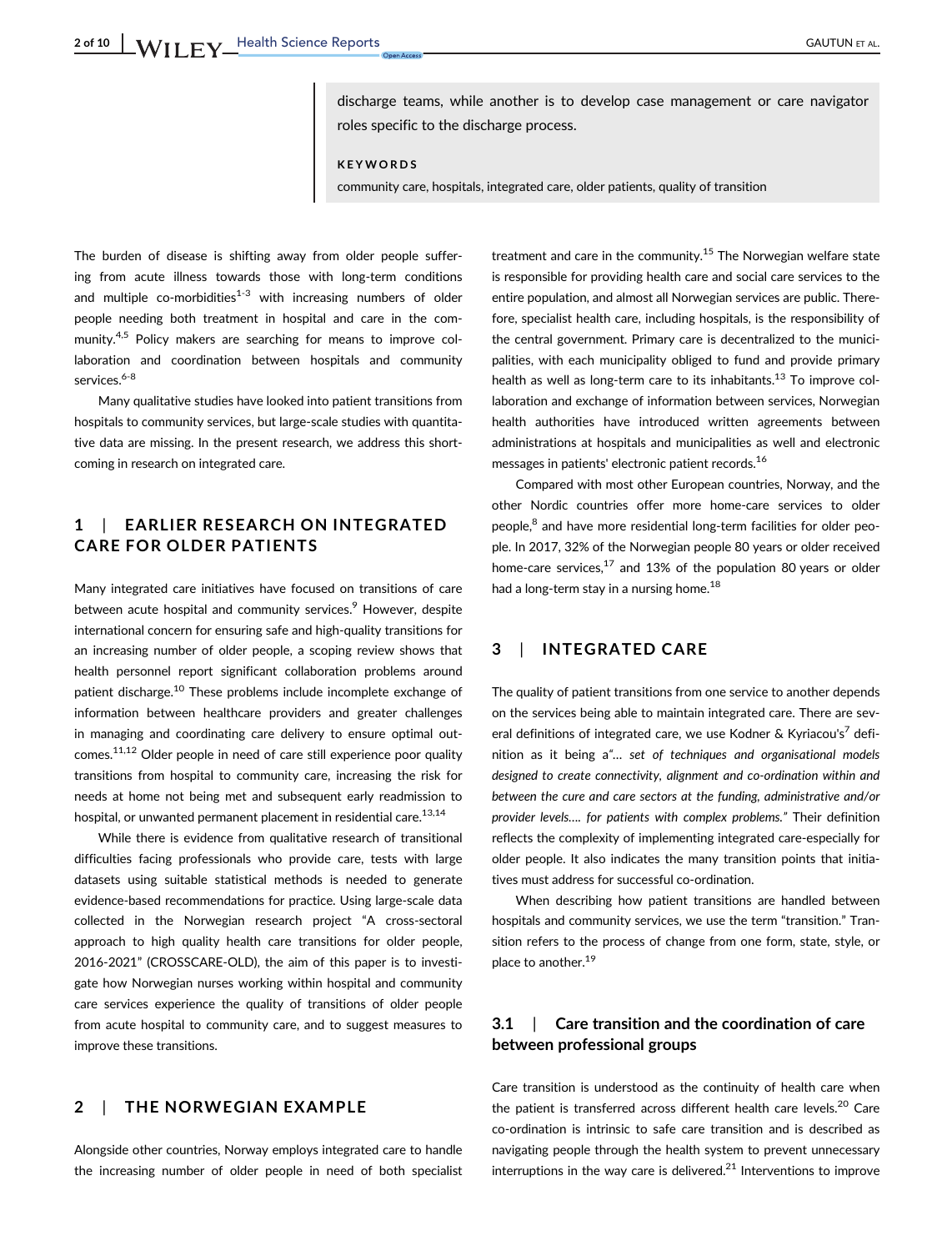discharge teams, while another is to develop case management or care navigator roles specific to the discharge process.

KEYWORDS

community care, hospitals, integrated care, older patients, quality of transition

The burden of disease is shifting away from older people suffering from acute illness towards those with long-term conditions and multiple co-morbidities $1-3$  with increasing numbers of older people needing both treatment in hospital and care in the community.<sup>4,5</sup> Policy makers are searching for means to improve collaboration and coordination between hospitals and community services.<sup>6-8</sup>

Many qualitative studies have looked into patient transitions from hospitals to community services, but large-scale studies with quantitative data are missing. In the present research, we address this shortcoming in research on integrated care.

# 1 | EARLIER RESEARCH ON INTEGRATED CARE FOR OLDER PATIENTS

Many integrated care initiatives have focused on transitions of care between acute hospital and community services.<sup>9</sup> However, despite international concern for ensuring safe and high-quality transitions for an increasing number of older people, a scoping review shows that health personnel report significant collaboration problems around patient discharge.<sup>10</sup> These problems include incomplete exchange of information between healthcare providers and greater challenges in managing and coordinating care delivery to ensure optimal outcomes.<sup>11,12</sup> Older people in need of care still experience poor quality transitions from hospital to community care, increasing the risk for needs at home not being met and subsequent early readmission to hospital, or unwanted permanent placement in residential care.<sup>13,14</sup>

While there is evidence from qualitative research of transitional difficulties facing professionals who provide care, tests with large datasets using suitable statistical methods is needed to generate evidence-based recommendations for practice. Using large-scale data collected in the Norwegian research project "A cross-sectoral approach to high quality health care transitions for older people, 2016-2021" (CROSSCARE-OLD), the aim of this paper is to investigate how Norwegian nurses working within hospital and community care services experience the quality of transitions of older people from acute hospital to community care, and to suggest measures to improve these transitions.

# 2 | THE NORWEGIAN EXAMPLE

Alongside other countries, Norway employs integrated care to handle the increasing number of older people in need of both specialist treatment and care in the community.<sup>15</sup> The Norwegian welfare state is responsible for providing health care and social care services to the entire population, and almost all Norwegian services are public. Therefore, specialist health care, including hospitals, is the responsibility of the central government. Primary care is decentralized to the municipalities, with each municipality obliged to fund and provide primary health as well as long-term care to its inhabitants.<sup>13</sup> To improve collaboration and exchange of information between services, Norwegian health authorities have introduced written agreements between administrations at hospitals and municipalities as well and electronic messages in patients' electronic patient records.16

Compared with most other European countries, Norway, and the other Nordic countries offer more home-care services to older people,<sup>8</sup> and have more residential long-term facilities for older people. In 2017, 32% of the Norwegian people 80 years or older received home-care services, $17$  and 13% of the population 80 years or older had a long-term stay in a nursing home.<sup>18</sup>

## 3 | INTEGRATED CARE

The quality of patient transitions from one service to another depends on the services being able to maintain integrated care. There are several definitions of integrated care, we use Kodner & Kyriacou's<sup>7</sup> definition as it being a"… set of techniques and organisational models designed to create connectivity, alignment and co-ordination within and between the cure and care sectors at the funding, administrative and/or provider levels…. for patients with complex problems." Their definition reflects the complexity of implementing integrated care-especially for older people. It also indicates the many transition points that initiatives must address for successful co-ordination.

When describing how patient transitions are handled between hospitals and community services, we use the term "transition." Transition refers to the process of change from one form, state, style, or place to another.<sup>19</sup>

# 3.1 | Care transition and the coordination of care between professional groups

Care transition is understood as the continuity of health care when the patient is transferred across different health care levels. $20$  Care co-ordination is intrinsic to safe care transition and is described as navigating people through the health system to prevent unnecessary interruptions in the way care is delivered. $^{21}$  Interventions to improve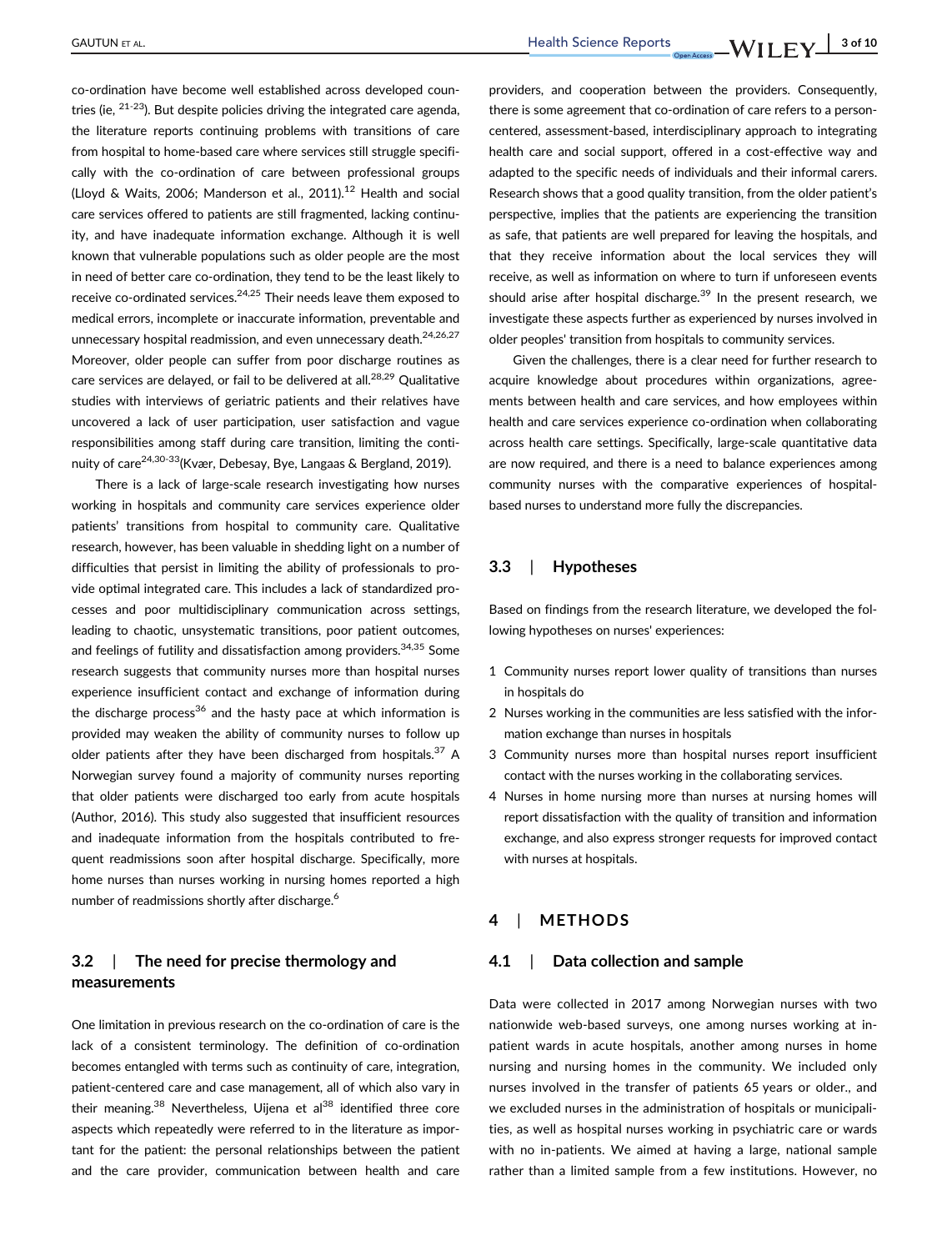co-ordination have become well established across developed countries (ie,  $21-23$ ). But despite policies driving the integrated care agenda, the literature reports continuing problems with transitions of care from hospital to home-based care where services still struggle specifically with the co-ordination of care between professional groups (Lloyd & Waits, 2006; Manderson et al., 2011). $^{12}$  Health and social care services offered to patients are still fragmented, lacking continuity, and have inadequate information exchange. Although it is well known that vulnerable populations such as older people are the most in need of better care co-ordination, they tend to be the least likely to receive co-ordinated services.24,25 Their needs leave them exposed to medical errors, incomplete or inaccurate information, preventable and unnecessary hospital readmission, and even unnecessary death.<sup>24,26,27</sup> Moreover, older people can suffer from poor discharge routines as care services are delayed, or fail to be delivered at all.<sup>28,29</sup> Qualitative studies with interviews of geriatric patients and their relatives have uncovered a lack of user participation, user satisfaction and vague responsibilities among staff during care transition, limiting the continuity of care<sup>24,30-33</sup> (Kvær, Debesay, Bye, Langaas & Bergland, 2019).

There is a lack of large-scale research investigating how nurses working in hospitals and community care services experience older patients' transitions from hospital to community care. Qualitative research, however, has been valuable in shedding light on a number of difficulties that persist in limiting the ability of professionals to provide optimal integrated care. This includes a lack of standardized processes and poor multidisciplinary communication across settings, leading to chaotic, unsystematic transitions, poor patient outcomes, and feelings of futility and dissatisfaction among providers.<sup>34,35</sup> Some research suggests that community nurses more than hospital nurses experience insufficient contact and exchange of information during the discharge process<sup>36</sup> and the hasty pace at which information is provided may weaken the ability of community nurses to follow up older patients after they have been discharged from hospitals. $37$  A Norwegian survey found a majority of community nurses reporting that older patients were discharged too early from acute hospitals (Author, 2016). This study also suggested that insufficient resources and inadequate information from the hospitals contributed to frequent readmissions soon after hospital discharge. Specifically, more home nurses than nurses working in nursing homes reported a high number of readmissions shortly after discharge.<sup>6</sup>

# 3.2 | The need for precise thermology and measurements

One limitation in previous research on the co-ordination of care is the lack of a consistent terminology. The definition of co-ordination becomes entangled with terms such as continuity of care, integration, patient-centered care and case management, all of which also vary in their meaning.<sup>38</sup> Nevertheless, Uijena et al<sup>38</sup> identified three core aspects which repeatedly were referred to in the literature as important for the patient: the personal relationships between the patient and the care provider, communication between health and care providers, and cooperation between the providers. Consequently, there is some agreement that co-ordination of care refers to a personcentered, assessment-based, interdisciplinary approach to integrating health care and social support, offered in a cost-effective way and adapted to the specific needs of individuals and their informal carers. Research shows that a good quality transition, from the older patient's perspective, implies that the patients are experiencing the transition as safe, that patients are well prepared for leaving the hospitals, and that they receive information about the local services they will receive, as well as information on where to turn if unforeseen events should arise after hospital discharge.<sup>39</sup> In the present research, we investigate these aspects further as experienced by nurses involved in older peoples' transition from hospitals to community services.

Given the challenges, there is a clear need for further research to acquire knowledge about procedures within organizations, agreements between health and care services, and how employees within health and care services experience co-ordination when collaborating across health care settings. Specifically, large-scale quantitative data are now required, and there is a need to balance experiences among community nurses with the comparative experiences of hospitalbased nurses to understand more fully the discrepancies.

#### 3.3 | Hypotheses

Based on findings from the research literature, we developed the following hypotheses on nurses' experiences:

- 1 Community nurses report lower quality of transitions than nurses in hospitals do
- 2 Nurses working in the communities are less satisfied with the information exchange than nurses in hospitals
- 3 Community nurses more than hospital nurses report insufficient contact with the nurses working in the collaborating services.
- 4 Nurses in home nursing more than nurses at nursing homes will report dissatisfaction with the quality of transition and information exchange, and also express stronger requests for improved contact with nurses at hospitals.

#### **METHODS**

#### 4.1 | Data collection and sample

Data were collected in 2017 among Norwegian nurses with two nationwide web-based surveys, one among nurses working at inpatient wards in acute hospitals, another among nurses in home nursing and nursing homes in the community. We included only nurses involved in the transfer of patients 65 years or older., and we excluded nurses in the administration of hospitals or municipalities, as well as hospital nurses working in psychiatric care or wards with no in-patients. We aimed at having a large, national sample rather than a limited sample from a few institutions. However, no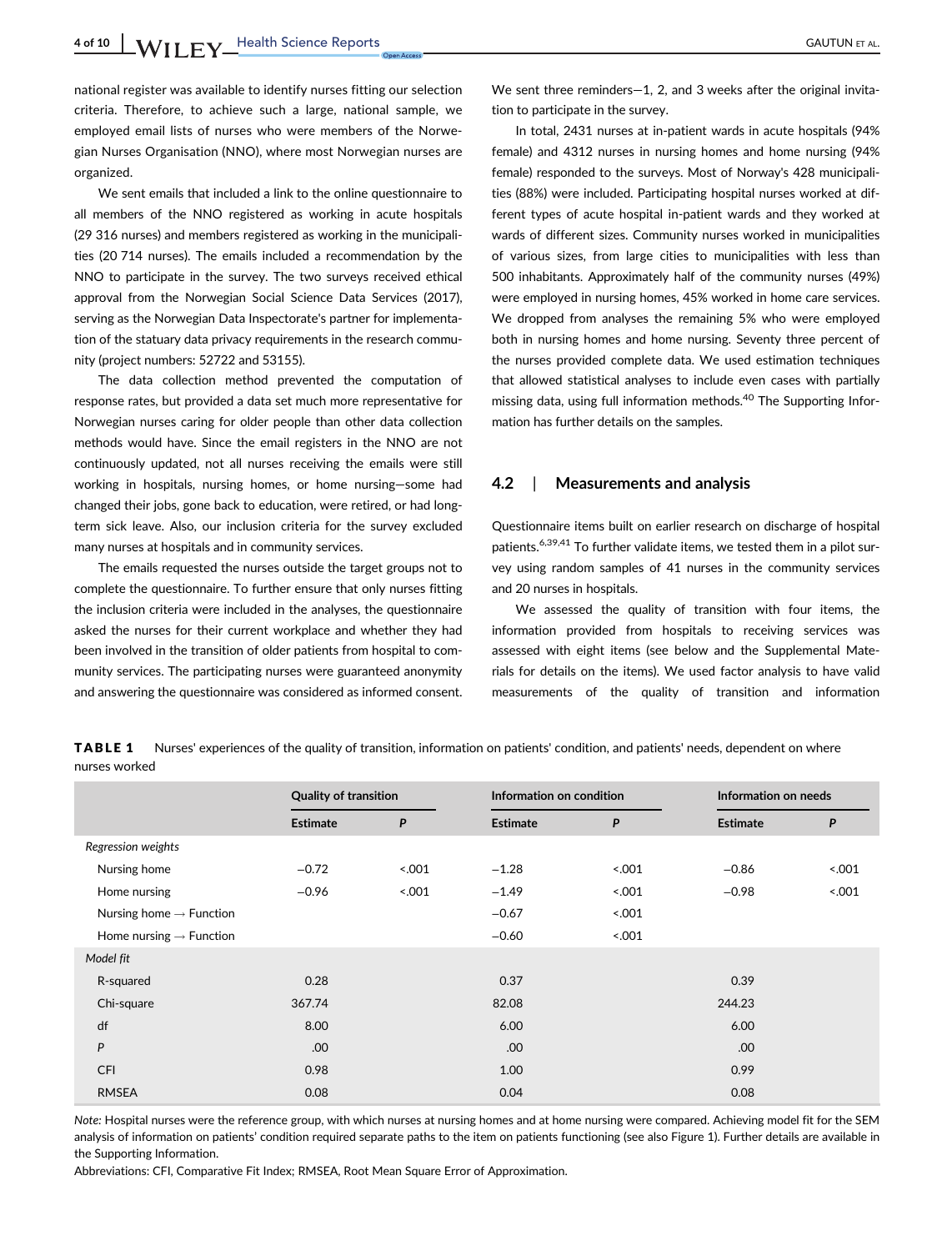national register was available to identify nurses fitting our selection criteria. Therefore, to achieve such a large, national sample, we employed email lists of nurses who were members of the Norwegian Nurses Organisation (NNO), where most Norwegian nurses are organized.

We sent emails that included a link to the online questionnaire to all members of the NNO registered as working in acute hospitals (29 316 nurses) and members registered as working in the municipalities (20 714 nurses). The emails included a recommendation by the NNO to participate in the survey. The two surveys received ethical approval from the Norwegian Social Science Data Services (2017), serving as the Norwegian Data Inspectorate's partner for implementation of the statuary data privacy requirements in the research community (project numbers: 52722 and 53155).

The data collection method prevented the computation of response rates, but provided a data set much more representative for Norwegian nurses caring for older people than other data collection methods would have. Since the email registers in the NNO are not continuously updated, not all nurses receiving the emails were still working in hospitals, nursing homes, or home nursing—some had changed their jobs, gone back to education, were retired, or had longterm sick leave. Also, our inclusion criteria for the survey excluded many nurses at hospitals and in community services.

The emails requested the nurses outside the target groups not to complete the questionnaire. To further ensure that only nurses fitting the inclusion criteria were included in the analyses, the questionnaire asked the nurses for their current workplace and whether they had been involved in the transition of older patients from hospital to community services. The participating nurses were guaranteed anonymity and answering the questionnaire was considered as informed consent. We sent three reminders-1, 2, and 3 weeks after the original invitation to participate in the survey.

In total, 2431 nurses at in-patient wards in acute hospitals (94% female) and 4312 nurses in nursing homes and home nursing (94% female) responded to the surveys. Most of Norway's 428 municipalities (88%) were included. Participating hospital nurses worked at different types of acute hospital in-patient wards and they worked at wards of different sizes. Community nurses worked in municipalities of various sizes, from large cities to municipalities with less than 500 inhabitants. Approximately half of the community nurses (49%) were employed in nursing homes, 45% worked in home care services. We dropped from analyses the remaining 5% who were employed both in nursing homes and home nursing. Seventy three percent of the nurses provided complete data. We used estimation techniques that allowed statistical analyses to include even cases with partially missing data, using full information methods.<sup>40</sup> The Supporting Information has further details on the samples.

#### 4.2 | Measurements and analysis

Questionnaire items built on earlier research on discharge of hospital patients.<sup>6,39,41</sup> To further validate items, we tested them in a pilot survey using random samples of 41 nurses in the community services and 20 nurses in hospitals.

We assessed the quality of transition with four items, the information provided from hospitals to receiving services was assessed with eight items (see below and the Supplemental Materials for details on the items). We used factor analysis to have valid measurements of the quality of transition and information

TABLE 1 Nurses' experiences of the quality of transition, information on patients' condition, and patients' needs, dependent on where nurses worked

|                                     | <b>Quality of transition</b> |       | Information on condition |       | Information on needs |     |
|-------------------------------------|------------------------------|-------|--------------------------|-------|----------------------|-----|
|                                     | <b>Estimate</b>              | P     | <b>Estimate</b>          | P     | <b>Estimate</b>      | P   |
| Regression weights                  |                              |       |                          |       |                      |     |
| Nursing home                        | $-0.72$                      | 5.001 | $-1.28$                  | 5.001 | $-0.86$              | 001 |
| Home nursing                        | $-0.96$                      | 001   | $-1.49$                  | 5.001 | $-0.98$              | 001 |
| Nursing home $\rightarrow$ Function |                              |       | $-0.67$                  | 5.001 |                      |     |
| Home nursing $\rightarrow$ Function |                              |       | $-0.60$                  | 0.001 |                      |     |
| Model fit                           |                              |       |                          |       |                      |     |
| R-squared                           | 0.28                         |       | 0.37                     |       | 0.39                 |     |
| Chi-square                          | 367.74                       |       | 82.08                    |       | 244.23               |     |
| df                                  | 8.00                         |       | 6.00                     |       | 6.00                 |     |
| P                                   | .00                          |       | .00                      |       | .00                  |     |
| <b>CFI</b>                          | 0.98                         |       | 1.00                     |       | 0.99                 |     |
| <b>RMSEA</b>                        | 0.08                         |       | 0.04                     |       | 0.08                 |     |

Note: Hospital nurses were the reference group, with which nurses at nursing homes and at home nursing were compared. Achieving model fit for the SEM analysis of information on patients' condition required separate paths to the item on patients functioning (see also Figure 1). Further details are available in the Supporting Information.

Abbreviations: CFI, Comparative Fit Index; RMSEA, Root Mean Square Error of Approximation.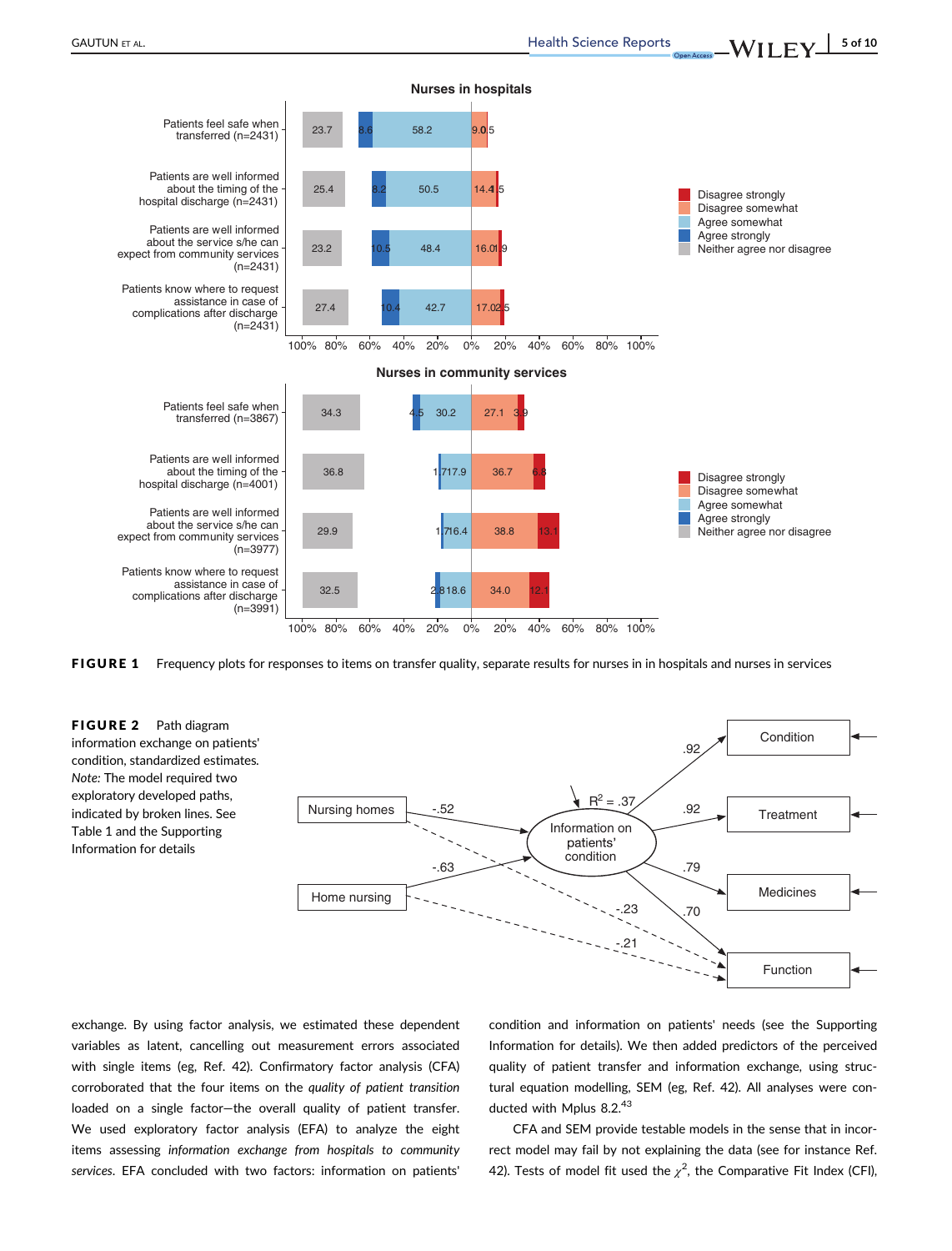

FIGURE 1 Frequency plots for responses to items on transfer quality, separate results for nurses in in hospitals and nurses in services

FIGURE 2 Path diagram information exchange on patients' condition, standardized estimates. Note: The model required two exploratory developed paths, indicated by broken lines. See Table 1 and the Supporting Information for details



exchange. By using factor analysis, we estimated these dependent variables as latent, cancelling out measurement errors associated with single items (eg, Ref. 42). Confirmatory factor analysis (CFA) corroborated that the four items on the quality of patient transition loaded on a single factor—the overall quality of patient transfer. We used exploratory factor analysis (EFA) to analyze the eight items assessing information exchange from hospitals to community services. EFA concluded with two factors: information on patients' condition and information on patients' needs (see the Supporting Information for details). We then added predictors of the perceived quality of patient transfer and information exchange, using structural equation modelling, SEM (eg, Ref. 42). All analyses were conducted with Mplus 8.2.43

CFA and SEM provide testable models in the sense that in incorrect model may fail by not explaining the data (see for instance Ref. 42). Tests of model fit used the  $\chi^2$ , the Comparative Fit Index (CFI),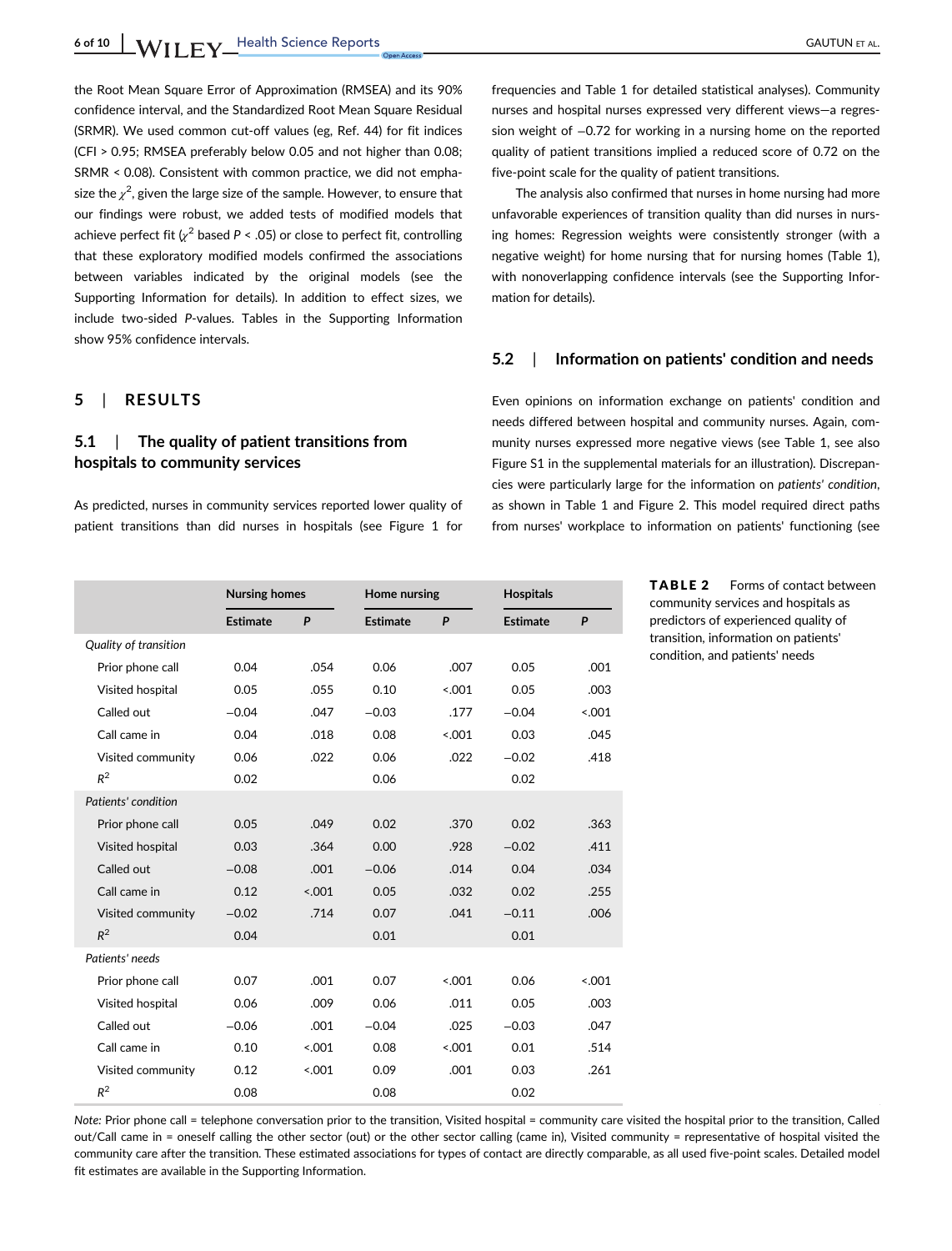the Root Mean Square Error of Approximation (RMSEA) and its 90% confidence interval, and the Standardized Root Mean Square Residual (SRMR). We used common cut-off values (eg, Ref. 44) for fit indices (CFI > 0.95; RMSEA preferably below 0.05 and not higher than 0.08; SRMR < 0.08). Consistent with common practice, we did not emphasize the  $\chi^2$ , given the large size of the sample. However, to ensure that our findings were robust, we added tests of modified models that achieve perfect fit  $\chi^2$  based P < .05) or close to perfect fit, controlling that these exploratory modified models confirmed the associations between variables indicated by the original models (see the Supporting Information for details). In addition to effect sizes, we include two-sided P-values. Tables in the Supporting Information show 95% confidence intervals.

## 5 | RESULTS

# 5.1 | The quality of patient transitions from hospitals to community services

As predicted, nurses in community services reported lower quality of patient transitions than did nurses in hospitals (see Figure 1 for frequencies and Table 1 for detailed statistical analyses). Community nurses and hospital nurses expressed very different views—a regression weight of −0.72 for working in a nursing home on the reported quality of patient transitions implied a reduced score of 0.72 on the five-point scale for the quality of patient transitions.

The analysis also confirmed that nurses in home nursing had more unfavorable experiences of transition quality than did nurses in nursing homes: Regression weights were consistently stronger (with a negative weight) for home nursing that for nursing homes (Table 1), with nonoverlapping confidence intervals (see the Supporting Information for details).

#### 5.2 | Information on patients' condition and needs

Even opinions on information exchange on patients' condition and needs differed between hospital and community nurses. Again, community nurses expressed more negative views (see Table 1, see also Figure S1 in the supplemental materials for an illustration). Discrepancies were particularly large for the information on patients' condition, as shown in Table 1 and Figure 2. This model required direct paths from nurses' workplace to information on patients' functioning (see

|                       | <b>Nursing homes</b> |         |                 | Home nursing |                 | <b>Hospitals</b> |  |
|-----------------------|----------------------|---------|-----------------|--------------|-----------------|------------------|--|
|                       | <b>Estimate</b>      | P       | <b>Estimate</b> | P            | <b>Estimate</b> | $\mathsf{P}$     |  |
| Quality of transition |                      |         |                 |              |                 |                  |  |
| Prior phone call      | 0.04                 | .054    | 0.06            | .007         | 0.05            | .001             |  |
| Visited hospital      | 0.05                 | .055    | 0.10            | < 0.001      | 0.05            | .003             |  |
| Called out            | $-0.04$              | .047    | $-0.03$         | .177         | $-0.04$         | 5.001            |  |
| Call came in          | 0.04                 | .018    | 0.08            | < 0.001      | 0.03            | .045             |  |
| Visited community     | 0.06                 | .022    | 0.06            | .022         | $-0.02$         | .418             |  |
| $R^2$                 | 0.02                 |         | 0.06            |              | 0.02            |                  |  |
| Patients' condition   |                      |         |                 |              |                 |                  |  |
| Prior phone call      | 0.05                 | .049    | 0.02            | .370         | 0.02            | .363             |  |
| Visited hospital      | 0.03                 | .364    | 0.00            | .928         | $-0.02$         | .411             |  |
| Called out            | $-0.08$              | .001    | $-0.06$         | .014         | 0.04            | .034             |  |
| Call came in          | 0.12                 | < 0.001 | 0.05            | .032         | 0.02            | .255             |  |
| Visited community     | $-0.02$              | .714    | 0.07            | .041         | $-0.11$         | .006             |  |
| $R^2$                 | 0.04                 |         | 0.01            |              | 0.01            |                  |  |
| Patients' needs       |                      |         |                 |              |                 |                  |  |
| Prior phone call      | 0.07                 | .001    | 0.07            | < 0.001      | 0.06            | < 0.001          |  |
| Visited hospital      | 0.06                 | .009    | 0.06            | .011         | 0.05            | .003             |  |
| Called out            | $-0.06$              | .001    | $-0.04$         | .025         | $-0.03$         | .047             |  |
| Call came in          | 0.10                 | < 0.001 | 0.08            | < 0.001      | 0.01            | .514             |  |
| Visited community     | 0.12                 | < .001  | 0.09            | .001         | 0.03            | .261             |  |
| $R^2$                 | 0.08                 |         | 0.08            |              | 0.02            |                  |  |

TABLE 2 Forms of contact between community services and hospitals as predictors of experienced quality of transition, information on patients' condition, and patients' needs

Note: Prior phone call = telephone conversation prior to the transition, Visited hospital = community care visited the hospital prior to the transition, Called out/Call came in = oneself calling the other sector (out) or the other sector calling (came in), Visited community = representative of hospital visited the community care after the transition. These estimated associations for types of contact are directly comparable, as all used five-point scales. Detailed model fit estimates are available in the Supporting Information.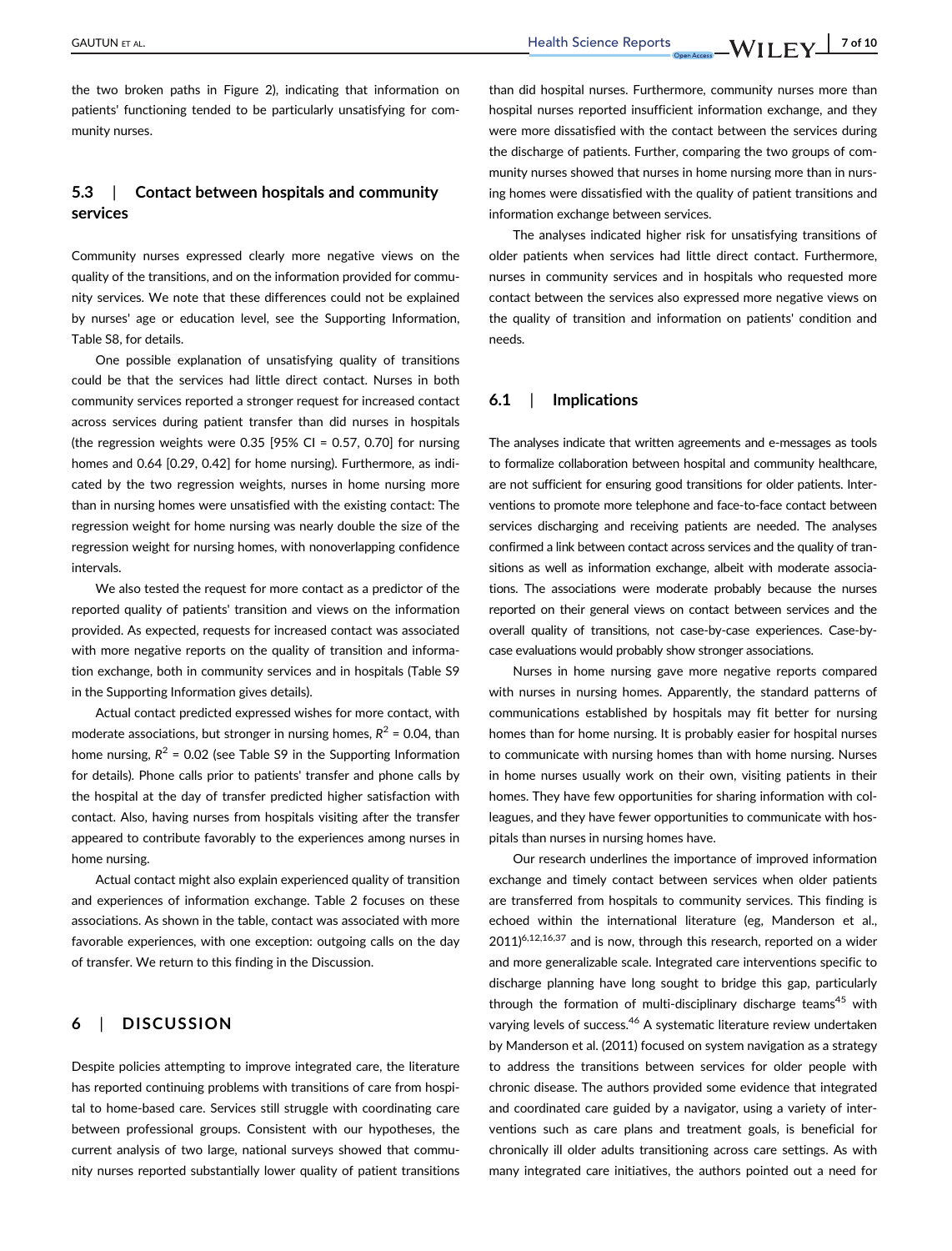the two broken paths in Figure 2), indicating that information on patients' functioning tended to be particularly unsatisfying for community nurses.

# 5.3 | Contact between hospitals and community services

Community nurses expressed clearly more negative views on the quality of the transitions, and on the information provided for community services. We note that these differences could not be explained by nurses' age or education level, see the Supporting Information, Table S8, for details.

One possible explanation of unsatisfying quality of transitions could be that the services had little direct contact. Nurses in both community services reported a stronger request for increased contact across services during patient transfer than did nurses in hospitals (the regression weights were  $0.35$  [95% CI = 0.57, 0.70] for nursing homes and 0.64 [0.29, 0.42] for home nursing). Furthermore, as indicated by the two regression weights, nurses in home nursing more than in nursing homes were unsatisfied with the existing contact: The regression weight for home nursing was nearly double the size of the regression weight for nursing homes, with nonoverlapping confidence intervals.

We also tested the request for more contact as a predictor of the reported quality of patients' transition and views on the information provided. As expected, requests for increased contact was associated with more negative reports on the quality of transition and information exchange, both in community services and in hospitals (Table S9 in the Supporting Information gives details).

Actual contact predicted expressed wishes for more contact, with moderate associations, but stronger in nursing homes,  $R^2$  = 0.04, than home nursing,  $R^2$  = 0.02 (see Table S9 in the Supporting Information for details). Phone calls prior to patients' transfer and phone calls by the hospital at the day of transfer predicted higher satisfaction with contact. Also, having nurses from hospitals visiting after the transfer appeared to contribute favorably to the experiences among nurses in home nursing.

Actual contact might also explain experienced quality of transition and experiences of information exchange. Table 2 focuses on these associations. As shown in the table, contact was associated with more favorable experiences, with one exception: outgoing calls on the day of transfer. We return to this finding in the Discussion.

#### 6 | DISCUSSION

Despite policies attempting to improve integrated care, the literature has reported continuing problems with transitions of care from hospital to home-based care. Services still struggle with coordinating care between professional groups. Consistent with our hypotheses, the current analysis of two large, national surveys showed that community nurses reported substantially lower quality of patient transitions than did hospital nurses. Furthermore, community nurses more than hospital nurses reported insufficient information exchange, and they were more dissatisfied with the contact between the services during the discharge of patients. Further, comparing the two groups of community nurses showed that nurses in home nursing more than in nursing homes were dissatisfied with the quality of patient transitions and information exchange between services.

The analyses indicated higher risk for unsatisfying transitions of older patients when services had little direct contact. Furthermore, nurses in community services and in hospitals who requested more contact between the services also expressed more negative views on the quality of transition and information on patients' condition and needs.

#### 6.1 | Implications

The analyses indicate that written agreements and e-messages as tools to formalize collaboration between hospital and community healthcare, are not sufficient for ensuring good transitions for older patients. Interventions to promote more telephone and face-to-face contact between services discharging and receiving patients are needed. The analyses confirmed a link between contact across services and the quality of transitions as well as information exchange, albeit with moderate associations. The associations were moderate probably because the nurses reported on their general views on contact between services and the overall quality of transitions, not case-by-case experiences. Case-bycase evaluations would probably show stronger associations.

Nurses in home nursing gave more negative reports compared with nurses in nursing homes. Apparently, the standard patterns of communications established by hospitals may fit better for nursing homes than for home nursing. It is probably easier for hospital nurses to communicate with nursing homes than with home nursing. Nurses in home nurses usually work on their own, visiting patients in their homes. They have few opportunities for sharing information with colleagues, and they have fewer opportunities to communicate with hospitals than nurses in nursing homes have.

Our research underlines the importance of improved information exchange and timely contact between services when older patients are transferred from hospitals to community services. This finding is echoed within the international literature (eg, Manderson et al.,  $2011$ <sup>6,12,16,37</sup> and is now, through this research, reported on a wider and more generalizable scale. Integrated care interventions specific to discharge planning have long sought to bridge this gap, particularly through the formation of multi-disciplinary discharge teams<sup>45</sup> with varying levels of success.<sup>46</sup> A systematic literature review undertaken by Manderson et al. (2011) focused on system navigation as a strategy to address the transitions between services for older people with chronic disease. The authors provided some evidence that integrated and coordinated care guided by a navigator, using a variety of interventions such as care plans and treatment goals, is beneficial for chronically ill older adults transitioning across care settings. As with many integrated care initiatives, the authors pointed out a need for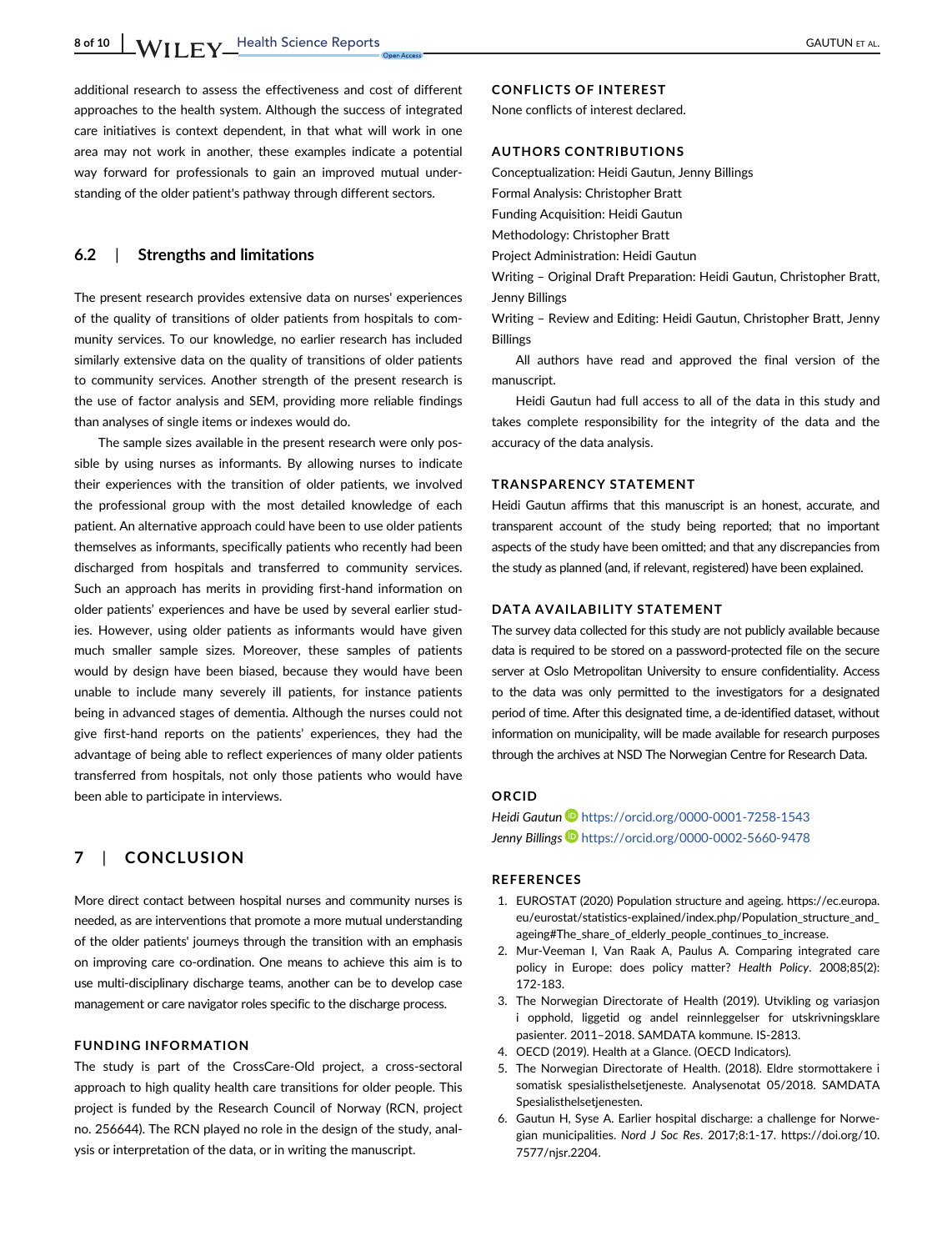8 of 10 WIFY Health Science Reports GAUTUN ET AL.

additional research to assess the effectiveness and cost of different approaches to the health system. Although the success of integrated care initiatives is context dependent, in that what will work in one area may not work in another, these examples indicate a potential way forward for professionals to gain an improved mutual understanding of the older patient's pathway through different sectors.

#### 6.2 | Strengths and limitations

The present research provides extensive data on nurses' experiences of the quality of transitions of older patients from hospitals to community services. To our knowledge, no earlier research has included similarly extensive data on the quality of transitions of older patients to community services. Another strength of the present research is the use of factor analysis and SEM, providing more reliable findings than analyses of single items or indexes would do.

The sample sizes available in the present research were only possible by using nurses as informants. By allowing nurses to indicate their experiences with the transition of older patients, we involved the professional group with the most detailed knowledge of each patient. An alternative approach could have been to use older patients themselves as informants, specifically patients who recently had been discharged from hospitals and transferred to community services. Such an approach has merits in providing first-hand information on older patients' experiences and have be used by several earlier studies. However, using older patients as informants would have given much smaller sample sizes. Moreover, these samples of patients would by design have been biased, because they would have been unable to include many severely ill patients, for instance patients being in advanced stages of dementia. Although the nurses could not give first-hand reports on the patients' experiences, they had the advantage of being able to reflect experiences of many older patients transferred from hospitals, not only those patients who would have been able to participate in interviews.

## 7 | CONCLUSION

More direct contact between hospital nurses and community nurses is needed, as are interventions that promote a more mutual understanding of the older patients' journeys through the transition with an emphasis on improving care co-ordination. One means to achieve this aim is to use multi-disciplinary discharge teams, another can be to develop case management or care navigator roles specific to the discharge process.

#### FUNDING INFORMATION

The study is part of the CrossCare-Old project, a cross-sectoral approach to high quality health care transitions for older people. This project is funded by the Research Council of Norway (RCN, project no. 256644). The RCN played no role in the design of the study, analysis or interpretation of the data, or in writing the manuscript.

#### CONFLICTS OF INTEREST

None conflicts of interest declared.

#### AUTHORS CONTRIBUTIONS

Conceptualization: Heidi Gautun, Jenny Billings

Formal Analysis: Christopher Bratt

Funding Acquisition: Heidi Gautun

Methodology: Christopher Bratt

Project Administration: Heidi Gautun

Writing – Original Draft Preparation: Heidi Gautun, Christopher Bratt, Jenny Billings

Writing – Review and Editing: Heidi Gautun, Christopher Bratt, Jenny Billings

All authors have read and approved the final version of the manuscript.

Heidi Gautun had full access to all of the data in this study and takes complete responsibility for the integrity of the data and the accuracy of the data analysis.

#### TRANSPARENCY STATEMENT

Heidi Gautun affirms that this manuscript is an honest, accurate, and transparent account of the study being reported; that no important aspects of the study have been omitted; and that any discrepancies from the study as planned (and, if relevant, registered) have been explained.

#### DATA AVAILABILITY STATEMENT

The survey data collected for this study are not publicly available because data is required to be stored on a password-protected file on the secure server at Oslo Metropolitan University to ensure confidentiality. Access to the data was only permitted to the investigators for a designated period of time. After this designated time, a de-identified dataset, without information on municipality, will be made available for research purposes through the archives at NSD The Norwegian Centre for Research Data.

#### ORCID

Heidi Gautun D<https://orcid.org/0000-0001-7258-1543> Jenny Billings **b** <https://orcid.org/0000-0002-5660-9478>

#### REFERENCES

- 1. EUROSTAT (2020) Population structure and ageing. [https://ec.europa.](https://ec.europa.eu/eurostat/statistics-explained/index.php/Population_structure_and_ageing#The_share_of_elderly_people_continues_to_increase) [eu/eurostat/statistics-explained/index.php/Population\\_structure\\_and\\_](https://ec.europa.eu/eurostat/statistics-explained/index.php/Population_structure_and_ageing#The_share_of_elderly_people_continues_to_increase) ageing#The share of elderly people continues to increase.
- 2. Mur-Veeman I, Van Raak A, Paulus A. Comparing integrated care policy in Europe: does policy matter? Health Policy. 2008;85(2): 172-183.
- 3. The Norwegian Directorate of Health (2019). Utvikling og variasjon i opphold, liggetid og andel reinnleggelser for utskrivningsklare pasienter. 2011–2018. SAMDATA kommune. IS-2813.
- 4. OECD (2019). Health at a Glance. (OECD Indicators).
- 5. The Norwegian Directorate of Health. (2018). Eldre stormottakere i somatisk spesialisthelsetjeneste. Analysenotat 05/2018. SAMDATA Spesialisthelsetienesten.
- 6. Gautun H, Syse A. Earlier hospital discharge: a challenge for Norwegian municipalities. Nord J Soc Res. 2017;8:1-17. [https://doi.org/10.](https://doi.org/10.7577/njsr.2204) [7577/njsr.2204](https://doi.org/10.7577/njsr.2204).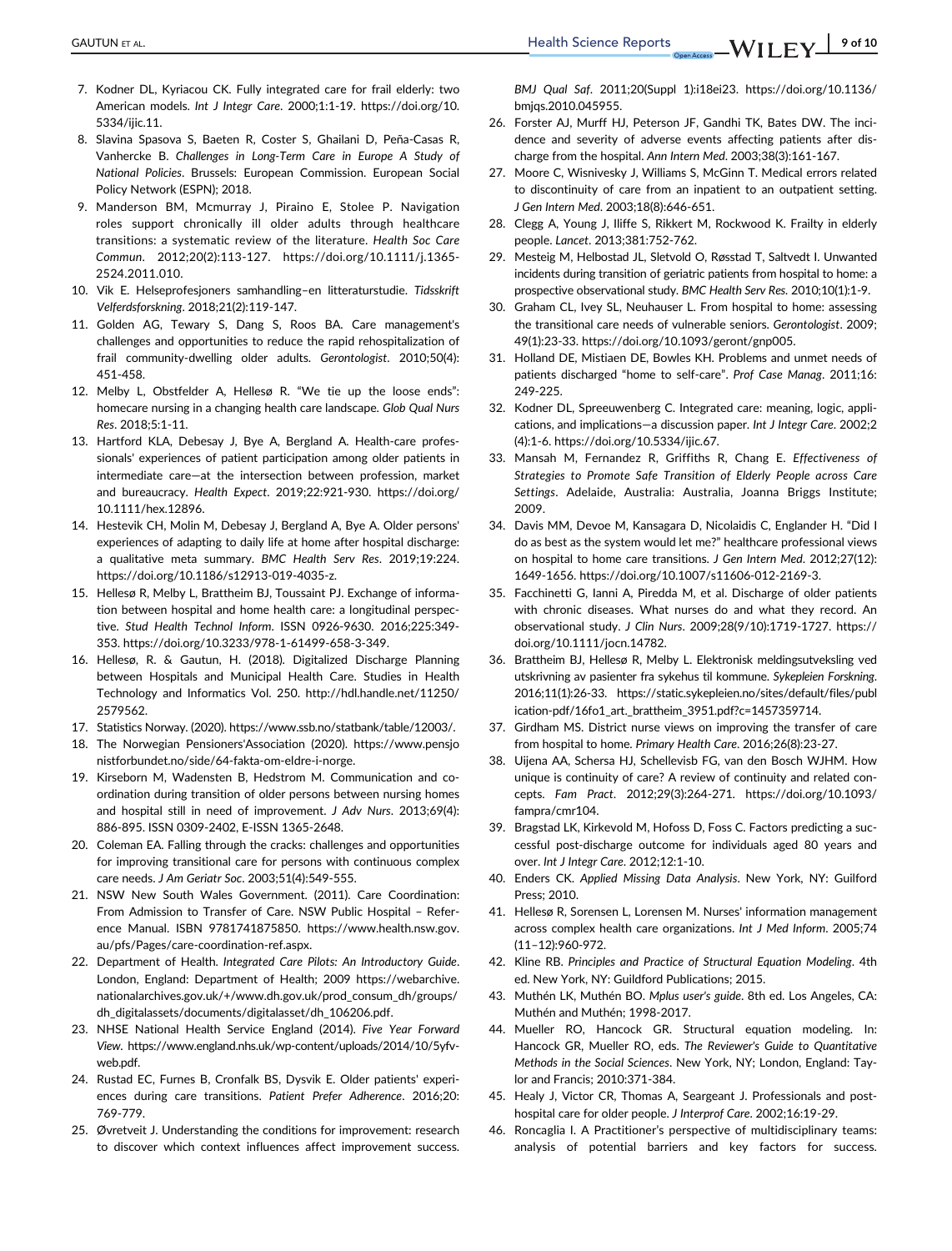- 7. Kodner DL, Kyriacou CK. Fully integrated care for frail elderly: two American models. Int J Integr Care. 2000;1:1-19. [https://doi.org/10.](https://doi.org/10.5334/ijic.11) [5334/ijic.11.](https://doi.org/10.5334/ijic.11)
- 8. Slavina Spasova S, Baeten R, Coster S, Ghailani D, Peña-Casas R, Vanhercke B. Challenges in Long-Term Care in Europe A Study of National Policies. Brussels: European Commission. European Social Policy Network (ESPN); 2018.
- 9. Manderson BM, Mcmurray J, Piraino E, Stolee P. Navigation roles support chronically ill older adults through healthcare transitions: a systematic review of the literature. Health Soc Care Commun. 2012;20(2):113-127. [https://doi.org/10.1111/j.1365-](https://doi.org/10.1111/j.1365-2524.2011.010) [2524.2011.010.](https://doi.org/10.1111/j.1365-2524.2011.010)
- 10. Vik E. Helseprofesjoners samhandling–en litteraturstudie. Tidsskrift Velferdsforskning. 2018;21(2):119-147.
- 11. Golden AG, Tewary S, Dang S, Roos BA. Care management's challenges and opportunities to reduce the rapid rehospitalization of frail community-dwelling older adults. Gerontologist. 2010;50(4): 451-458.
- 12. Melby L, Obstfelder A, Hellesø R. "We tie up the loose ends": homecare nursing in a changing health care landscape. Glob Qual Nurs Res. 2018;5:1-11.
- 13. Hartford KLA, Debesay J, Bye A, Bergland A. Health-care professionals' experiences of patient participation among older patients in intermediate care—at the intersection between profession, market and bureaucracy. Health Expect. 2019;22:921-930. [https://doi.org/](https://doi.org/10.1111/hex.12896) [10.1111/hex.12896](https://doi.org/10.1111/hex.12896).
- 14. Hestevik CH, Molin M, Debesay J, Bergland A, Bye A. Older persons' experiences of adapting to daily life at home after hospital discharge: a qualitative meta summary. BMC Health Serv Res. 2019;19:224. <https://doi.org/10.1186/s12913-019-4035-z>.
- 15. Hellesø R, Melby L, Brattheim BJ, Toussaint PJ. Exchange of information between hospital and home health care: a longitudinal perspective. Stud Health Technol Inform. ISSN 0926-9630. 2016;225:349- 353. [https://doi.org/10.3233/978-1-61499-658-3-349.](https://doi.org/10.3233/978-1-61499-658-3-349)
- 16. Hellesø, R. & Gautun, H. (2018). Digitalized Discharge Planning between Hospitals and Municipal Health Care. Studies in Health Technology and Informatics Vol. 250. [http://hdl.handle.net/11250/](http://hdl.handle.net/11250/2579562) [2579562.](http://hdl.handle.net/11250/2579562)
- 17. Statistics Norway. (2020).<https://www.ssb.no/statbank/table/12003/>.
- 18. The Norwegian Pensioners'Association (2020). [https://www.pensjo](https://www.pensjonistforbundet.no/side/64-fakta-om-eldre-i-norge) [nistforbundet.no/side/64-fakta-om-eldre-i-norge.](https://www.pensjonistforbundet.no/side/64-fakta-om-eldre-i-norge)
- 19. Kirseborn M, Wadensten B, Hedstrom M. Communication and coordination during transition of older persons between nursing homes and hospital still in need of improvement. J Adv Nurs. 2013;69(4): 886-895. ISSN 0309-2402, E-ISSN 1365-2648.
- 20. Coleman EA. Falling through the cracks: challenges and opportunities for improving transitional care for persons with continuous complex care needs. J Am Geriatr Soc. 2003;51(4):549-555.
- 21. NSW New South Wales Government. (2011). Care Coordination: From Admission to Transfer of Care. NSW Public Hospital – Reference Manual. ISBN 9781741875850. [https://www.health.nsw.gov.](https://www.health.nsw.gov.au/pfs/Pages/care-coordination-ref.aspx) [au/pfs/Pages/care-coordination-ref.aspx.](https://www.health.nsw.gov.au/pfs/Pages/care-coordination-ref.aspx)
- 22. Department of Health. Integrated Care Pilots: An Introductory Guide. London, England: Department of Health; 2009 [https://webarchive.](https://webarchive.nationalarchives.gov.uk/%2B/www.dh.gov.uk/prod_consum_dh/groups/dh_digitalassets/documents/digitalasset/dh_106206.pdf) [nationalarchives.gov.uk/+/www.dh.gov.uk/prod\\_consum\\_dh/groups/](https://webarchive.nationalarchives.gov.uk/%2B/www.dh.gov.uk/prod_consum_dh/groups/dh_digitalassets/documents/digitalasset/dh_106206.pdf) [dh\\_digitalassets/documents/digitalasset/dh\\_106206.pdf](https://webarchive.nationalarchives.gov.uk/%2B/www.dh.gov.uk/prod_consum_dh/groups/dh_digitalassets/documents/digitalasset/dh_106206.pdf).
- 23. NHSE National Health Service England (2014). Five Year Forward View. [https://www.england.nhs.uk/wp-content/uploads/2014/10/5yfv](https://www.england.nhs.uk/wp-content/uploads/2014/10/5yfv-web.pdf)[web.pdf](https://www.england.nhs.uk/wp-content/uploads/2014/10/5yfv-web.pdf).
- 24. Rustad EC, Furnes B, Cronfalk BS, Dysvik E. Older patients' experiences during care transitions. Patient Prefer Adherence. 2016;20: 769-779.
- 25. Øvretveit J. Understanding the conditions for improvement: research to discover which context influences affect improvement success.

BMJ Qual Saf. 2011;20(Suppl 1):i18ei23. [https://doi.org/10.1136/](https://doi.org/10.1136/bmjqs.2010.045955) [bmjqs.2010.045955.](https://doi.org/10.1136/bmjqs.2010.045955)

- 26. Forster AJ, Murff HJ, Peterson JF, Gandhi TK, Bates DW. The incidence and severity of adverse events affecting patients after discharge from the hospital. Ann Intern Med. 2003;38(3):161-167.
- 27. Moore C, Wisnivesky J, Williams S, McGinn T. Medical errors related to discontinuity of care from an inpatient to an outpatient setting. J Gen Intern Med. 2003;18(8):646-651.
- 28. Clegg A, Young J, Iliffe S, Rikkert M, Rockwood K. Frailty in elderly people. Lancet. 2013;381:752-762.
- 29. Mesteig M, Helbostad JL, Sletvold O, Røsstad T, Saltvedt I. Unwanted incidents during transition of geriatric patients from hospital to home: a prospective observational study. BMC Health Serv Res. 2010;10(1):1-9.
- 30. Graham CL, Ivey SL, Neuhauser L. From hospital to home: assessing the transitional care needs of vulnerable seniors. Gerontologist. 2009; 49(1):23-33.<https://doi.org/10.1093/geront/gnp005>.
- 31. Holland DE, Mistiaen DE, Bowles KH. Problems and unmet needs of patients discharged "home to self-care". Prof Case Manag. 2011;16: 249-225.
- 32. Kodner DL, Spreeuwenberg C. Integrated care: meaning, logic, applications, and implications—a discussion paper. Int J Integr Care. 2002;2 (4):1-6.<https://doi.org/10.5334/ijic.67>.
- 33. Mansah M, Fernandez R, Griffiths R, Chang E. Effectiveness of Strategies to Promote Safe Transition of Elderly People across Care Settings. Adelaide, Australia: Australia, Joanna Briggs Institute; 2009.
- 34. Davis MM, Devoe M, Kansagara D, Nicolaidis C, Englander H. "Did I do as best as the system would let me?" healthcare professional views on hospital to home care transitions. J Gen Intern Med. 2012;27(12): 1649-1656.<https://doi.org/10.1007/s11606-012-2169-3>.
- 35. Facchinetti G, Ianni A, Piredda M, et al. Discharge of older patients with chronic diseases. What nurses do and what they record. An observational study. J Clin Nurs. 2009;28(9/10):1719-1727. [https://](https://doi.org/10.1111/jocn.14782) [doi.org/10.1111/jocn.14782.](https://doi.org/10.1111/jocn.14782)
- 36. Brattheim BJ, Hellesø R, Melby L. Elektronisk meldingsutveksling ved utskrivning av pasienter fra sykehus til kommune. Sykepleien Forskning. 2016;11(1):26-33. [https://static.sykepleien.no/sites/default/files/publ](https://static.sykepleien.no/sites/default/files/publication-pdf/16fo1_art._brattheim_3951.pdf?c=1457359714) [ication-pdf/16fo1\\_art.\\_brattheim\\_3951.pdf?c=1457359714](https://static.sykepleien.no/sites/default/files/publication-pdf/16fo1_art._brattheim_3951.pdf?c=1457359714).
- 37. Girdham MS. District nurse views on improving the transfer of care from hospital to home. Primary Health Care. 2016;26(8):23-27.
- 38. Uijena AA, Schersa HJ, Schellevisb FG, van den Bosch WJHM. How unique is continuity of care? A review of continuity and related concepts. Fam Pract. 2012;29(3):264-271. [https://doi.org/10.1093/](https://doi.org/10.1093/fampra/cmr104) [fampra/cmr104](https://doi.org/10.1093/fampra/cmr104).
- 39. Bragstad LK, Kirkevold M, Hofoss D, Foss C. Factors predicting a successful post-discharge outcome for individuals aged 80 years and over. Int J Integr Care. 2012;12:1-10.
- 40. Enders CK. Applied Missing Data Analysis. New York, NY: Guilford Press; 2010.
- 41. Hellesø R, Sorensen L, Lorensen M. Nurses' information management across complex health care organizations. Int J Med Inform. 2005;74 (11–12):960-972.
- 42. Kline RB. Principles and Practice of Structural Equation Modeling. 4th ed. New York, NY: Guildford Publications; 2015.
- 43. Muthén LK, Muthén BO. Mplus user's guide. 8th ed. Los Angeles, CA: Muthén and Muthén; 1998-2017.
- 44. Mueller RO, Hancock GR. Structural equation modeling. In: Hancock GR, Mueller RO, eds. The Reviewer's Guide to Quantitative Methods in the Social Sciences. New York, NY; London, England: Taylor and Francis; 2010:371-384.
- 45. Healy J, Victor CR, Thomas A, Seargeant J. Professionals and posthospital care for older people. J Interprof Care. 2002;16:19-29.
- 46. Roncaglia I. A Practitioner's perspective of multidisciplinary teams: analysis of potential barriers and key factors for success.